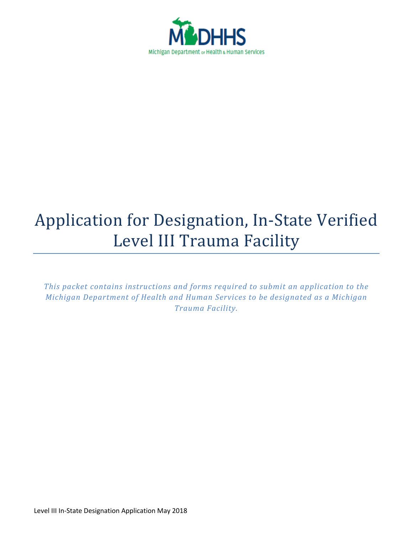

# Application for Designation, In-State Verified Level III Trauma Facility

*This packet contains instructions and forms required to submit an application to the Michigan Department of Health and Human Services to be designated as a Michigan Trauma Facility.*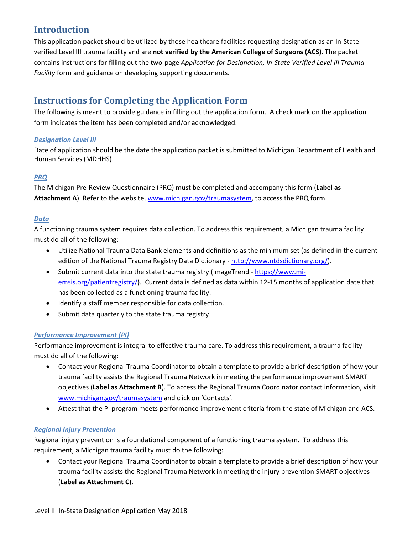## **Introduction**

This application packet should be utilized by those healthcare facilities requesting designation as an In-State verified Level III trauma facility and are **not verified by the American College of Surgeons (ACS)**. The packet contains instructions for filling out the two-page *Application for Designation, In-State Verified Level III Trauma Facility* form and guidance on developing supporting documents.

## **Instructions for Completing the Application Form**

The following is meant to provide guidance in filling out the application form. A check mark on the application form indicates the item has been completed and/or acknowledged.

### *Designation Level III*

Date of application should be the date the application packet is submitted to Michigan Department of Health and Human Services (MDHHS).

#### *PRQ*

The Michigan Pre-Review Questionnaire (PRQ) must be completed and accompany this form (**Label as Attachment A**). Refer to the website, www.michigan.gov/traumasystem, to access the PRQ form.

#### *Data*

A functioning trauma system requires data collection. To address this requirement, a Michigan trauma facility must do all of the following:

- Utilize National Trauma Data Bank elements and definitions as the minimum set (as defined in the current edition of the National Trauma Registry Data Dictionary - http://www.ntdsdictionary.org/).
- Submit current data into the state trauma registry (ImageTrend https://www.miemsis.org/patientregistry/). Current data is defined as data within 12-15 months of application date that has been collected as a functioning trauma facility.
- Identify a staff member responsible for data collection.
- Submit data quarterly to the state trauma registry.

### *Performance Improvement (PI)*

Performance improvement is integral to effective trauma care. To address this requirement, a trauma facility must do all of the following:

- Contact your Regional Trauma Coordinator to obtain a template to provide a brief description of how your trauma facility assists the Regional Trauma Network in meeting the performance improvement SMART objectives (**Label as Attachment B**). To access the Regional Trauma Coordinator contact information, visit www.michigan.gov/traumasystem and click on 'Contacts'.
- Attest that the PI program meets performance improvement criteria from the state of Michigan and ACS.

### *Regional Injury Prevention*

Regional injury prevention is a foundational component of a functioning trauma system. To address this requirement, a Michigan trauma facility must do the following:

• Contact your Regional Trauma Coordinator to obtain a template to provide a brief description of how your trauma facility assists the Regional Trauma Network in meeting the injury prevention SMART objectives (**Label as Attachment C**).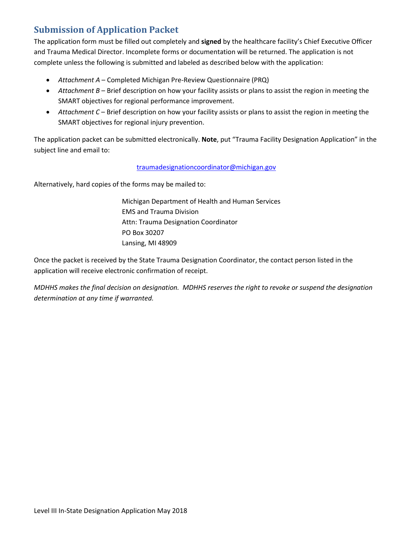## **Submission of Application Packet**

The application form must be filled out completely and **signed** by the healthcare facility's Chief Executive Officer and Trauma Medical Director. Incomplete forms or documentation will be returned. The application is not complete unless the following is submitted and labeled as described below with the application:

- *Attachment A* Completed Michigan Pre-Review Questionnaire (PRQ)
- *Attachment B* Brief description on how your facility assists or plans to assist the region in meeting the SMART objectives for regional performance improvement.
- *Attachment C* Brief description on how your facility assists or plans to assist the region in meeting the SMART objectives for regional injury prevention.

The application packet can be submitted electronically. **Note**, put "Trauma Facility Designation Application" in the subject line and email to:

#### traumadesignationcoordinator@michigan.gov

Alternatively, hard copies of the forms may be mailed to:

Michigan Department of Health and Human Services EMS and Trauma Division Attn: Trauma Designation Coordinator PO Box 30207 Lansing, MI 48909

Once the packet is received by the State Trauma Designation Coordinator, the contact person listed in the application will receive electronic confirmation of receipt.

*MDHHS makes the final decision on designation. MDHHS reserves the right to revoke or suspend the designation determination at any time if warranted.*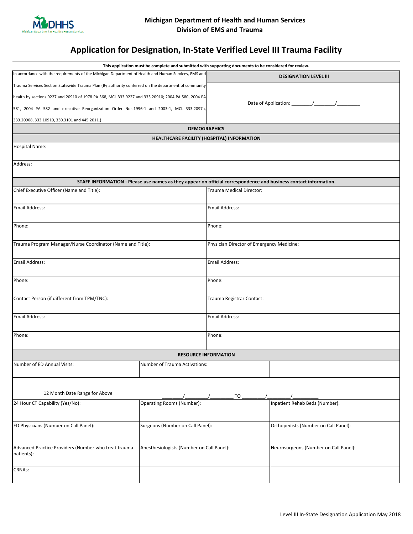

## **Application for Designation, In-State Verified Level III Trauma Facility**

| This application must be complete and submitted with supporting documents to be considered for review.           |                                  |                                           |                                       |
|------------------------------------------------------------------------------------------------------------------|----------------------------------|-------------------------------------------|---------------------------------------|
| In accordance with the requirements of the Michigan Department of Health and Human Services, EMS and             |                                  | <b>DESIGNATION LEVEL III</b>              |                                       |
| Trauma Services Section Statewide Trauma Plan (By authority conferred on the department of community             |                                  |                                           |                                       |
| health by sections 9227 and 20910 of 1978 PA 368, MCL 333.9227 and 333.20910; 2004 PA 580, 2004 PA               |                                  |                                           |                                       |
| 581, 2004 PA 582 and executive Reorganization Order Nos.1996-1 and 2003-1, MCL 333.2097a,                        |                                  |                                           |                                       |
| 333.20908, 333.10910, 330.3101 and 445.2011.)                                                                    |                                  |                                           |                                       |
| <b>DEMOGRAPHICS</b>                                                                                              |                                  |                                           |                                       |
| HEALTHCARE FACILITY (HOSPITAL) INFORMATION                                                                       |                                  |                                           |                                       |
| <b>Hospital Name:</b>                                                                                            |                                  |                                           |                                       |
| Address:                                                                                                         |                                  |                                           |                                       |
| STAFF INFORMATION - Please use names as they appear on official correspondence and business contact information. |                                  |                                           |                                       |
| Chief Executive Officer (Name and Title):                                                                        |                                  | Trauma Medical Director:                  |                                       |
| <b>Email Address:</b>                                                                                            |                                  | Email Address:                            |                                       |
| Phone:                                                                                                           |                                  | Phone:                                    |                                       |
| Trauma Program Manager/Nurse Coordinator (Name and Title):                                                       |                                  | Physician Director of Emergency Medicine: |                                       |
| Email Address:                                                                                                   |                                  | Email Address:                            |                                       |
| Phone:                                                                                                           |                                  | Phone:                                    |                                       |
| Contact Person (if different from TPM/TNC):                                                                      |                                  | Trauma Registrar Contact:                 |                                       |
| <b>Email Address:</b>                                                                                            |                                  | Email Address:                            |                                       |
| Phone:                                                                                                           |                                  | Phone:                                    |                                       |
| <b>RESOURCE INFORMATION</b>                                                                                      |                                  |                                           |                                       |
| Number of ED Annual Visits:                                                                                      | Number of Trauma Activations:    |                                           |                                       |
| 12 Month Date Range for Above<br>TO.                                                                             |                                  |                                           |                                       |
| 24 Hour CT Capability (Yes/No):                                                                                  | Operating Rooms (Number):        |                                           | Inpatient Rehab Beds (Number):        |
| ED Physicians (Number on Call Panel):                                                                            | Surgeons (Number on Call Panel): |                                           | Orthopedists (Number on Call Panel):  |
| Advanced Practice Providers (Number who treat trauma<br>Anesthesiologists (Number on Call Panel):<br>patients):  |                                  |                                           | Neurosurgeons (Number on Call Panel): |
| CRNAs:                                                                                                           |                                  |                                           |                                       |